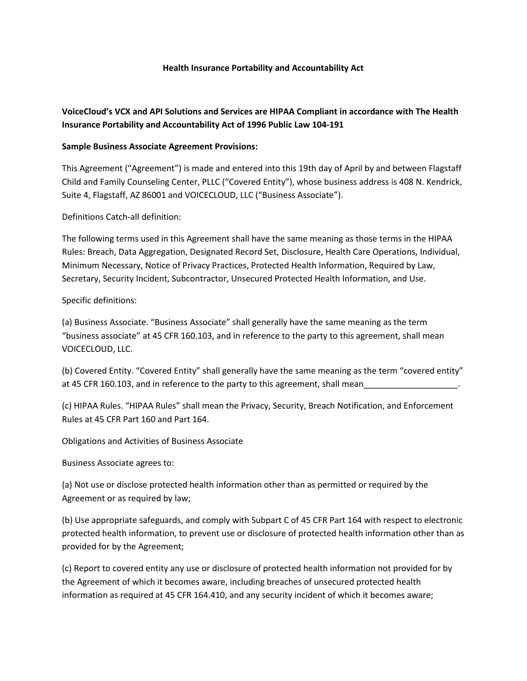#### **Health Insurance Portability and Accountability Act**

## **VoiceCloud's VCX and API Solutions and Services are HIPAA Compliant in accordance with The Health Insurance Portability and Accountability Act of 1996 Public Law 104-191**

### **Sample Business Associate Agreement Provisions:**

This Agreement ("Agreement") is made and entered into this 19th day of April by and between Flagstaff Child and Family Counseling Center, PLLC ("Covered Entity"), whose business address is 408 N. Kendrick, Suite 4, Flagstaff, AZ 86001 and VOICECLOUD, LLC ("Business Associate").

Definitions Catch-all definition:

The following terms used in this Agreement shall have the same meaning as those terms in the HIPAA Rules: Breach, Data Aggregation, Designated Record Set, Disclosure, Health Care Operations, Individual, Minimum Necessary, Notice of Privacy Practices, Protected Health Information, Required by Law, Secretary, Security Incident, Subcontractor, Unsecured Protected Health Information, and Use.

Specific definitions:

(a) Business Associate. "Business Associate" shall generally have the same meaning as the term "business associate" at 45 CFR 160.103, and in reference to the party to this agreement, shall mean VOICECLOUD, LLC.

(b) Covered Entity. "Covered Entity" shall generally have the same meaning as the term "covered entity" at 45 CFR 160.103, and in reference to the party to this agreement, shall mean

(c) HIPAA Rules. "HIPAA Rules" shall mean the Privacy, Security, Breach Notification, and Enforcement Rules at 45 CFR Part 160 and Part 164.

Obligations and Activities of Business Associate

Business Associate agrees to:

(a) Not use or disclose protected health information other than as permitted or required by the Agreement or as required by law;

(b) Use appropriate safeguards, and comply with Subpart C of 45 CFR Part 164 with respect to electronic protected health information, to prevent use or disclosure of protected health information other than as provided for by the Agreement;

(c) Report to covered entity any use or disclosure of protected health information not provided for by the Agreement of which it becomes aware, including breaches of unsecured protected health information as required at 45 CFR 164.410, and any security incident of which it becomes aware;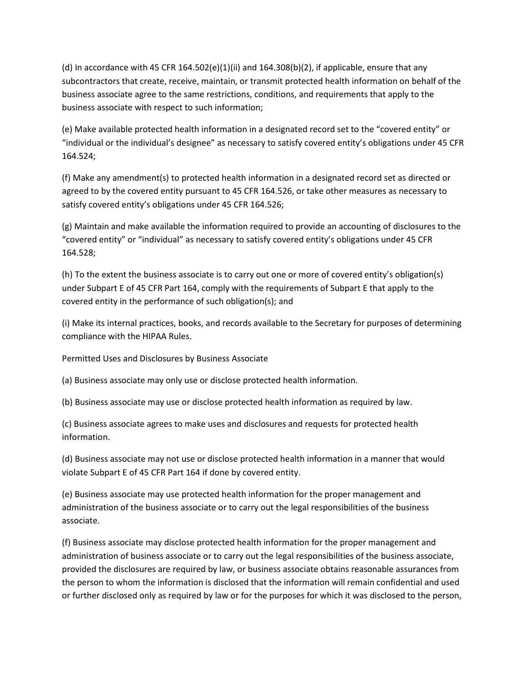(d) In accordance with 45 CFR 164.502(e)(1)(ii) and 164.308(b)(2), if applicable, ensure that any subcontractors that create, receive, maintain, or transmit protected health information on behalf of the business associate agree to the same restrictions, conditions, and requirements that apply to the business associate with respect to such information;

(e) Make available protected health information in a designated record set to the "covered entity" or "individual or the individual's designee" as necessary to satisfy covered entity's obligations under 45 CFR 164.524;

(f) Make any amendment(s) to protected health information in a designated record set as directed or agreed to by the covered entity pursuant to 45 CFR 164.526, or take other measures as necessary to satisfy covered entity's obligations under 45 CFR 164.526;

(g) Maintain and make available the information required to provide an accounting of disclosures to the "covered entity" or "individual" as necessary to satisfy covered entity's obligations under 45 CFR 164.528;

(h) To the extent the business associate is to carry out one or more of covered entity's obligation(s) under Subpart E of 45 CFR Part 164, comply with the requirements of Subpart E that apply to the covered entity in the performance of such obligation(s); and

(i) Make its internal practices, books, and records available to the Secretary for purposes of determining compliance with the HIPAA Rules.

Permitted Uses and Disclosures by Business Associate

(a) Business associate may only use or disclose protected health information.

(b) Business associate may use or disclose protected health information as required by law.

(c) Business associate agrees to make uses and disclosures and requests for protected health information.

(d) Business associate may not use or disclose protected health information in a manner that would violate Subpart E of 45 CFR Part 164 if done by covered entity.

(e) Business associate may use protected health information for the proper management and administration of the business associate or to carry out the legal responsibilities of the business associate.

(f) Business associate may disclose protected health information for the proper management and administration of business associate or to carry out the legal responsibilities of the business associate, provided the disclosures are required by law, or business associate obtains reasonable assurances from the person to whom the information is disclosed that the information will remain confidential and used or further disclosed only as required by law or for the purposes for which it was disclosed to the person,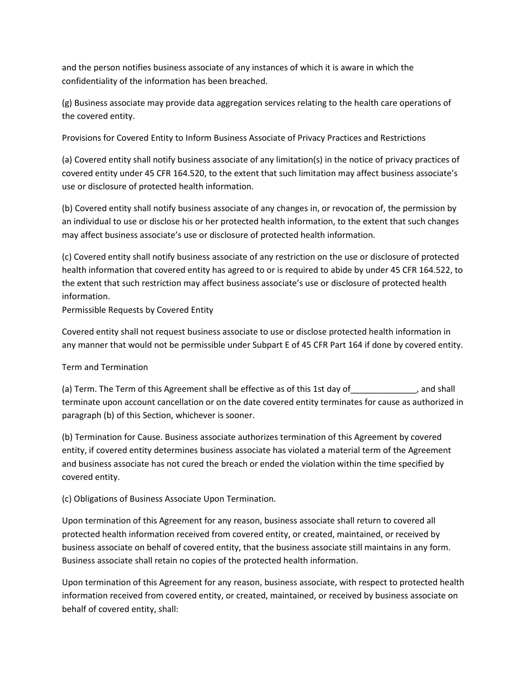and the person notifies business associate of any instances of which it is aware in which the confidentiality of the information has been breached.

(g) Business associate may provide data aggregation services relating to the health care operations of the covered entity.

Provisions for Covered Entity to Inform Business Associate of Privacy Practices and Restrictions

(a) Covered entity shall notify business associate of any limitation(s) in the notice of privacy practices of covered entity under 45 CFR 164.520, to the extent that such limitation may affect business associate's use or disclosure of protected health information.

(b) Covered entity shall notify business associate of any changes in, or revocation of, the permission by an individual to use or disclose his or her protected health information, to the extent that such changes may affect business associate's use or disclosure of protected health information.

(c) Covered entity shall notify business associate of any restriction on the use or disclosure of protected health information that covered entity has agreed to or is required to abide by under 45 CFR 164.522, to the extent that such restriction may affect business associate's use or disclosure of protected health information.

Permissible Requests by Covered Entity

Covered entity shall not request business associate to use or disclose protected health information in any manner that would not be permissible under Subpart E of 45 CFR Part 164 if done by covered entity.

# Term and Termination

(a) Term. The Term of this Agreement shall be effective as of this 1st day of\_\_\_\_\_\_\_\_\_\_\_\_\_\_, and shall terminate upon account cancellation or on the date covered entity terminates for cause as authorized in paragraph (b) of this Section, whichever is sooner.

(b) Termination for Cause. Business associate authorizes termination of this Agreement by covered entity, if covered entity determines business associate has violated a material term of the Agreement and business associate has not cured the breach or ended the violation within the time specified by covered entity.

(c) Obligations of Business Associate Upon Termination.

Upon termination of this Agreement for any reason, business associate shall return to covered all protected health information received from covered entity, or created, maintained, or received by business associate on behalf of covered entity, that the business associate still maintains in any form. Business associate shall retain no copies of the protected health information.

Upon termination of this Agreement for any reason, business associate, with respect to protected health information received from covered entity, or created, maintained, or received by business associate on behalf of covered entity, shall: